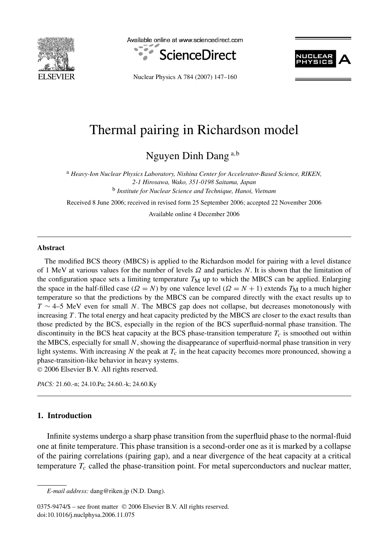

Available online at www.sciencedirect.com





Nuclear Physics A 784 (2007) 147–160

# Thermal pairing in Richardson model

Nguyen Dinh Dang <sup>a</sup>*,*<sup>b</sup>

<sup>a</sup> *Heavy-Ion Nuclear Physics Laboratory, Nishina Center for Accelerator-Based Science, RIKEN, 2-1 Hirosawa, Wako, 351-0198 Saitama, Japan* <sup>b</sup> *Institute for Nuclear Science and Technique, Hanoi, Vietnam*

Received 8 June 2006; received in revised form 25 September 2006; accepted 22 November 2006 Available online 4 December 2006

#### **Abstract**

The modified BCS theory (MBCS) is applied to the Richardson model for pairing with a level distance of 1 MeV at various values for the number of levels *Ω* and particles *N*. It is shown that the limitation of the configuration space sets a limiting temperature  $T_M$  up to which the MBCS can be applied. Enlarging the space in the half-filled case ( $\Omega = N$ ) by one valence level ( $\Omega = N + 1$ ) extends  $T_M$  to a much higher temperature so that the predictions by the MBCS can be compared directly with the exact results up to *T* ∼ 4–5 MeV even for small *N*. The MBCS gap does not collapse, but decreases monotonously with increasing *T*. The total energy and heat capacity predicted by the MBCS are closer to the exact results than those predicted by the BCS, especially in the region of the BCS superfluid-normal phase transition. The discontinuity in the BCS heat capacity at the BCS phase-transition temperature  $T_c$  is smoothed out within the MBCS, especially for small *N*, showing the disappearance of superfluid-normal phase transition in very light systems. With increasing  $N$  the peak at  $T_c$  in the heat capacity becomes more pronounced, showing a phase-transition-like behavior in heavy systems.

© 2006 Elsevier B.V. All rights reserved.

*PACS:* 21.60.-n; 24.10.Pa; 24.60.-k; 24.60.Ky

# **1. Introduction**

Infinite systems undergo a sharp phase transition from the superfluid phase to the normal-fluid one at finite temperature. This phase transition is a second-order one as it is marked by a collapse of the pairing correlations (pairing gap), and a near divergence of the heat capacity at a critical temperature  $T_c$  called the phase-transition point. For metal superconductors and nuclear matter,

0375-9474/\$ – see front matter © 2006 Elsevier B.V. All rights reserved. doi:10.1016/j.nuclphysa.2006.11.075

*E-mail address:* dang@riken.jp (N.D. Dang).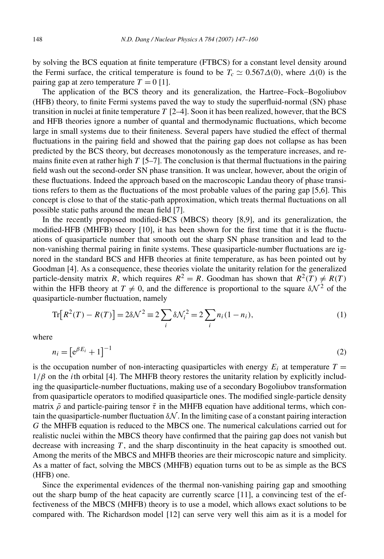by solving the BCS equation at finite temperature (FTBCS) for a constant level density around the Fermi surface, the critical temperature is found to be  $T_c \approx 0.567\Delta(0)$ , where  $\Delta(0)$  is the pairing gap at zero temperature  $T = 0$  [1].

The application of the BCS theory and its generalization, the Hartree–Fock–Bogoliubov (HFB) theory, to finite Fermi systems paved the way to study the superfluid-normal (SN) phase transition in nuclei at finite temperature *T* [2–4]. Soon it has been realized, however, that the BCS and HFB theories ignore a number of quantal and thermodynamic fluctuations, which become large in small systems due to their finiteness. Several papers have studied the effect of thermal fluctuations in the pairing field and showed that the pairing gap does not collapse as has been predicted by the BCS theory, but decreases monotonously as the temperature increases, and remains finite even at rather high *T* [5–7]. The conclusion is that thermal fluctuations in the pairing field wash out the second-order SN phase transition. It was unclear, however, about the origin of these fluctuations. Indeed the approach based on the macroscopic Landau theory of phase transitions refers to them as the fluctuations of the most probable values of the paring gap [5,6]. This concept is close to that of the static-path approximation, which treats thermal fluctuations on all possible static paths around the mean field [7].

In the recently proposed modified-BCS (MBCS) theory [8,9], and its generalization, the modified-HFB (MHFB) theory [10], it has been shown for the first time that it is the fluctuations of quasiparticle number that smooth out the sharp SN phase transition and lead to the non-vanishing thermal pairing in finite systems. These quasiparticle-number fluctuations are ignored in the standard BCS and HFB theories at finite temperature, as has been pointed out by Goodman [4]. As a consequence, these theories violate the unitarity relation for the generalized particle-density matrix *R*, which requires  $R^2 = R$ . Goodman has shown that  $R^2(T) \neq R(T)$ within the HFB theory at  $T \neq 0$ , and the difference is proportional to the square  $\delta \mathcal{N}^2$  of the quasiparticle-number fluctuation, namely

$$
\text{Tr}[R^2(T) - R(T)] = 2\delta \mathcal{N}^2 \equiv 2 \sum_i \delta \mathcal{N}_i^2 = 2 \sum_i n_i (1 - n_i),\tag{1}
$$

where

$$
n_i = \left[e^{\beta E_i} + 1\right]^{-1} \tag{2}
$$

is the occupation number of non-interacting quasiparticles with energy  $E_i$  at temperature  $T =$  $1/\beta$  on the *i*th orbital [4]. The MHFB theory restores the unitarity relation by explicitly including the quasiparticle-number fluctuations, making use of a secondary Bogoliubov transformation from quasiparticle operators to modified quasiparticle ones. The modified single-particle density matrix  $\bar{\rho}$  and particle-pairing tensor  $\bar{\tau}$  in the MHFB equation have additional terms, which contain the quasiparticle-number fluctuation  $\delta N$ . In the limiting case of a constant pairing interaction *G* the MHFB equation is reduced to the MBCS one. The numerical calculations carried out for realistic nuclei within the MBCS theory have confirmed that the pairing gap does not vanish but decrease with increasing *T* , and the sharp discontinuity in the heat capacity is smoothed out. Among the merits of the MBCS and MHFB theories are their microscopic nature and simplicity. As a matter of fact, solving the MBCS (MHFB) equation turns out to be as simple as the BCS (HFB) one.

Since the experimental evidences of the thermal non-vanishing pairing gap and smoothing out the sharp bump of the heat capacity are currently scarce [11], a convincing test of the effectiveness of the MBCS (MHFB) theory is to use a model, which allows exact solutions to be compared with. The Richardson model [12] can serve very well this aim as it is a model for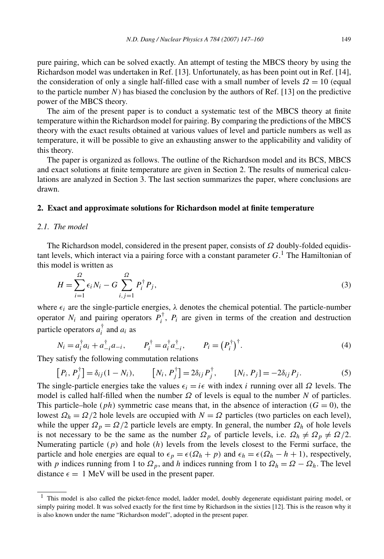The aim of the present paper is to conduct a systematic test of the MBCS theory at finite temperature within the Richardson model for pairing. By comparing the predictions of the MBCS theory with the exact results obtained at various values of level and particle numbers as well as temperature, it will be possible to give an exhausting answer to the applicability and validity of this theory.

The paper is organized as follows. The outline of the Richardson model and its BCS, MBCS and exact solutions at finite temperature are given in Section 2. The results of numerical calculations are analyzed in Section 3. The last section summarizes the paper, where conclusions are drawn.

# **2. Exact and approximate solutions for Richardson model at finite temperature**

# *2.1. The model*

The Richardson model, considered in the present paper, consists of *Ω* doubly-folded equidistant levels, which interact via a pairing force with a constant parameter *G*. <sup>1</sup> The Hamiltonian of this model is written as

$$
H = \sum_{i=1}^{\Omega} \epsilon_i N_i - G \sum_{i,j=1}^{\Omega} P_i^{\dagger} P_j,
$$
 (3)

where  $\epsilon_i$  are the single-particle energies,  $\lambda$  denotes the chemical potential. The particle-number operator  $N_i$  and pairing operators  $P_i^{\dagger}$ ,  $P_i$  are given in terms of the creation and destruction particle operators  $a_i^{\dagger}$  and  $a_i$  as

$$
N_i = a_i^{\dagger} a_i + a_{-i}^{\dagger} a_{-i}, \qquad P_i^{\dagger} = a_i^{\dagger} a_{-i}^{\dagger}, \qquad P_i = (P_i^{\dagger})^{\dagger}.
$$
 (4)

They satisfy the following commutation relations

$$
[P_i, P_j^{\dagger}] = \delta_{ij}(1 - N_i), \qquad [N_i, P_j^{\dagger}] = 2\delta_{ij} P_j^{\dagger}, \qquad [N_i, P_j] = -2\delta_{ij} P_j.
$$
 (5)

The single-particle energies take the values  $\epsilon_i = i\epsilon$  with index *i* running over all  $\Omega$  levels. The model is called half-filled when the number *Ω* of levels is equal to the number *N* of particles. This particle–hole (*ph*) symmetric case means that, in the absence of interaction ( $G = 0$ ), the lowest  $\Omega_h = \Omega/2$  hole levels are occupied with  $N = \Omega$  particles (two particles on each level), while the upper  $\Omega_p = \Omega/2$  particle levels are empty. In general, the number  $\Omega_h$  of hole levels is not necessary to be the same as the number  $\Omega_p$  of particle levels, i.e.  $\Omega_h \neq \Omega_p \neq \Omega/2$ . Numerating particle (*p*) and hole (*h*) levels from the levels closest to the Fermi surface, the particle and hole energies are equal to  $\epsilon_p = \epsilon(\Omega_h + p)$  and  $\epsilon_h = \epsilon(\Omega_h - h + 1)$ , respectively, with *p* indices running from 1 to  $\Omega_p$ , and *h* indices running from 1 to  $\Omega_h = \Omega - \Omega_h$ . The level distance  $\epsilon = 1$  MeV will be used in the present paper.

<sup>&</sup>lt;sup>1</sup> This model is also called the picket-fence model, ladder model, doubly degenerate equidistant pairing model, or simply pairing model. It was solved exactly for the first time by Richardson in the sixties [12]. This is the reason why it is also known under the name "Richardson model", adopted in the present paper.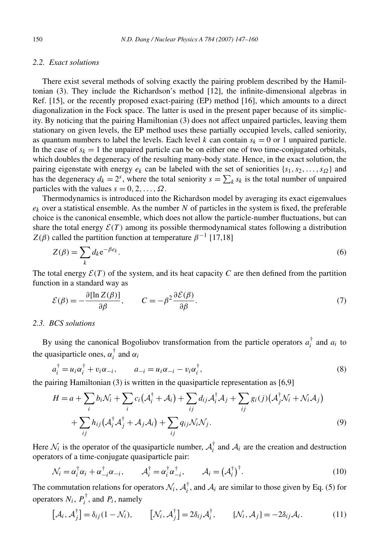# *2.2. Exact solutions*

There exist several methods of solving exactly the pairing problem described by the Hamiltonian (3). They include the Richardson's method [12], the infinite-dimensional algebras in Ref. [15], or the recently proposed exact-pairing (EP) method [16], which amounts to a direct diagonalization in the Fock space. The latter is used in the present paper because of its simplicity. By noticing that the pairing Hamiltonian (3) does not affect unpaired particles, leaving them stationary on given levels, the EP method uses these partially occupied levels, called seniority, as quantum numbers to label the levels. Each level *k* can contain  $s_k = 0$  or 1 unpaired particle. In the case of  $s_k = 1$  the unpaired particle can be on either one of two time-conjugated orbitals, which doubles the degeneracy of the resulting many-body state. Hence, in the exact solution, the pairing eigenstate with energy  $e_k$  can be labeled with the set of seniorities  $\{s_1, s_2, \ldots, s_{\Omega}\}\$  and has the degeneracy  $d_k = 2^s$ , where the total seniority  $s = \sum_k s_k$  is the total number of unpaired particles with the values  $s = 0, 2, ..., \Omega$ .

Thermodynamics is introduced into the Richardson model by averaging its exact eigenvalues  $e_k$  over a statistical ensemble. As the number  $N$  of particles in the system is fixed, the preferable choice is the canonical ensemble, which does not allow the particle-number fluctuations, but can share the total energy  $\mathcal{E}(T)$  among its possible thermodynamical states following a distribution *Z*(*β*) called the partition function at temperature  $β^{-1}$  [17,18]

$$
Z(\beta) = \sum_{k} d_k e^{-\beta e_k}.
$$
\n(6)

The total energy  $\mathcal{E}(T)$  of the system, and its heat capacity C are then defined from the partition function in a standard way as

$$
\mathcal{E}(\beta) = -\frac{\partial [\ln Z(\beta)]}{\partial \beta}, \qquad C = -\beta^2 \frac{\partial \mathcal{E}(\beta)}{\partial \beta}.
$$
 (7)

#### *2.3. BCS solutions*

By using the canonical Bogoliubov transformation from the particle operators  $a_i^{\dagger}$  and  $a_i$  to the quasiparticle ones,  $\alpha_i^{\dagger}$  and  $\alpha_i$ 

$$
a_i^{\dagger} = u_i \alpha_i^{\dagger} + v_i \alpha_{-i}, \qquad a_{-i} = u_i \alpha_{-i} - v_i \alpha_i^{\dagger}, \qquad (8)
$$

the pairing Hamiltonian (3) is written in the quasiparticle representation as [6,9]

$$
H = a + \sum_{i} b_{i} \mathcal{N}_{i} + \sum_{i} c_{i} (\mathcal{A}_{i}^{\dagger} + \mathcal{A}_{i}) + \sum_{ij} d_{ij} \mathcal{A}_{i}^{\dagger} \mathcal{A}_{j} + \sum_{ij} g_{i}(j) (\mathcal{A}_{j}^{\dagger} \mathcal{N}_{i} + \mathcal{N}_{i} \mathcal{A}_{j})
$$
  
+ 
$$
\sum_{ij} h_{ij} (\mathcal{A}_{i}^{\dagger} \mathcal{A}_{j}^{\dagger} + \mathcal{A}_{j} \mathcal{A}_{i}) + \sum_{ij} q_{ij} \mathcal{N}_{i} \mathcal{N}_{j}.
$$
 (9)

Here  $\mathcal{N}_i$  is the operator of the quasiparticle number,  $\mathcal{A}_i^{\dagger}$  and  $\mathcal{A}_i$  are the creation and destruction operators of a time-conjugate quasiparticle pair:

$$
\mathcal{N}_i = \alpha_i^{\dagger} \alpha_i + \alpha_{-i}^{\dagger} \alpha_{-i}, \qquad \mathcal{A}_i^{\dagger} = \alpha_i^{\dagger} \alpha_{-i}^{\dagger}, \qquad \mathcal{A}_i = \left(\mathcal{A}_i^{\dagger}\right)^{\dagger}.
$$
 (10)

The commutation relations for operators  $\mathcal{N}_i$ ,  $\mathcal{A}_i^{\dagger}$ , and  $\mathcal{A}_i$  are similar to those given by Eq. (5) for operators  $N_i$ ,  $P_i^{\dagger}$ , and  $P_i$ , namely

$$
[\mathcal{A}_i, \mathcal{A}_j^{\dagger}] = \delta_{ij} (1 - \mathcal{N}_i), \qquad [\mathcal{N}_i, \mathcal{A}_j^{\dagger}] = 2\delta_{ij} \mathcal{A}_i^{\dagger}, \qquad [\mathcal{N}_i, \mathcal{A}_j] = -2\delta_{ij} \mathcal{A}_i.
$$
 (11)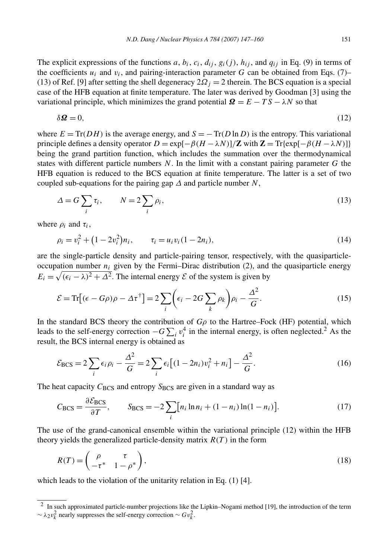The explicit expressions of the functions  $a, b_i, c_i, d_{ii}, g_i(j), h_{ii}$ , and  $q_{ii}$  in Eq. (9) in terms of the coefficients  $u_i$  and  $v_i$ , and pairing-interaction parameter *G* can be obtained from Eqs. (7)– (13) of Ref. [9] after setting the shell degeneracy  $2\Omega_i = 2$  therein. The BCS equation is a special case of the HFB equation at finite temperature. The later was derived by Goodman [3] using the variational principle, which minimizes the grand potential  $\mathbf{Q} = E - TS - \lambda N$  so that

$$
\delta \mathbf{\Omega} = 0,\tag{12}
$$

where  $E = \text{Tr}(DH)$  is the average energy, and  $S = -\text{Tr}(D \ln D)$  is the entropy. This variational principle defines a density operator  $D = \exp[-\beta(H - \lambda N)]/\mathbb{Z}$  with  $\mathbb{Z} = \text{Tr}\{\exp[-\beta(H - \lambda N)]\}$ being the grand partition function, which includes the summation over the thermodynamical states with different particle numbers *N*. In the limit with a constant pairing parameter *G* the HFB equation is reduced to the BCS equation at finite temperature. The latter is a set of two coupled sub-equations for the pairing gap  $\Delta$  and particle number  $N$ ,

$$
\Delta = G \sum_{i} \tau_i, \qquad N = 2 \sum_{i} \rho_i,
$$
\n(13)

where  $\rho_i$  and  $\tau_i$ ,

$$
\rho_i = v_i^2 + (1 - 2v_i^2) n_i, \qquad \tau_i = u_i v_i (1 - 2n_i), \tag{14}
$$

are the single-particle density and particle-pairing tensor, respectively, with the quasiparticleoccupation number  $n_i$  given by the Fermi–Dirac distribution (2), and the quasiparticle energy  $E_i = \sqrt{(\epsilon_i - \lambda)^2 + \Delta^2}$ . The internal energy  $\mathcal E$  of the system is given by

$$
\mathcal{E} = \text{Tr}\left[(\epsilon - G\rho)\rho - \Delta\tau^{\dagger}\right] = 2\sum_{i} \left(\epsilon_{i} - 2G\sum_{k} \rho_{k}\right)\rho_{i} - \frac{\Delta^{2}}{G}.
$$
\n(15)

In the standard BCS theory the contribution of  $G\rho$  to the Hartree–Fock (HF) potential, which leads to the self-energy correction  $-G \sum_i v_i^4$  in the internal energy, is often neglected.<sup>2</sup> As the result, the BCS internal energy is obtained as

$$
\mathcal{E}_{\rm BCS} = 2 \sum_{i} \epsilon_{i} \rho_{i} - \frac{\Delta^{2}}{G} = 2 \sum_{i} \epsilon_{i} \left[ (1 - 2n_{i}) v_{i}^{2} + n_{i} \right] - \frac{\Delta^{2}}{G}.
$$
 (16)

The heat capacity  $C_{BCS}$  and entropy  $S_{BCS}$  are given in a standard way as

$$
C_{\rm BCS} = \frac{\partial \mathcal{E}_{\rm BCS}}{\partial T}, \qquad S_{\rm BCS} = -2 \sum_{i} [n_i \ln n_i + (1 - n_i) \ln(1 - n_i)]. \tag{17}
$$

The use of the grand-canonical ensemble within the variational principle (12) within the HFB theory yields the generalized particle-density matrix  $R(T)$  in the form

$$
R(T) = \begin{pmatrix} \rho & \tau \\ -\tau^* & 1 - \rho^* \end{pmatrix},\tag{18}
$$

which leads to the violation of the unitarity relation in Eq. (1) [4].

 $<sup>2</sup>$  In such approximated particle-number projections like the Lipkin–Nogami method [19], the introduction of the term</sup>  $\sim \lambda_2 v_k^2$  nearly suppresses the self-energy correction  $\sim Gv_k^2$ .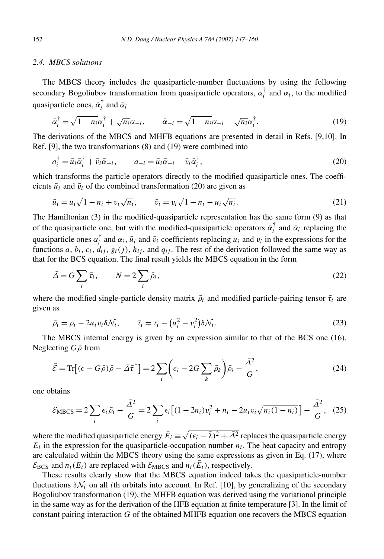# *2.4. MBCS solutions*

The MBCS theory includes the quasiparticle-number fluctuations by using the following secondary Bogoliubov transformation from quasiparticle operators,  $\alpha_i^{\dagger}$  and  $\alpha_i$ , to the modified quasiparticle ones,  $\bar{\alpha}_i^{\dagger}$  and  $\bar{\alpha}_i$ 

$$
\bar{\alpha}_i^{\dagger} = \sqrt{1 - n_i} \alpha_i^{\dagger} + \sqrt{n_i} \alpha_{-i}, \qquad \bar{\alpha}_{-i} = \sqrt{1 - n_i} \alpha_{-i} - \sqrt{n_i} \alpha_i^{\dagger}.
$$
 (19)

The derivations of the MBCS and MHFB equations are presented in detail in Refs. [9,10]. In Ref. [9], the two transformations (8) and (19) were combined into

$$
a_i^{\dagger} = \bar{u}_i \bar{\alpha}_i^{\dagger} + \bar{v}_i \bar{\alpha}_{-i}, \qquad a_{-i} = \bar{u}_i \bar{\alpha}_{-i} - \bar{v}_i \bar{\alpha}_i^{\dagger}, \qquad (20)
$$

which transforms the particle operators directly to the modified quasiparticle ones. The coefficients  $\bar{u}_i$  and  $\bar{v}_i$  of the combined transformation (20) are given as

$$
\bar{u}_i = u_i \sqrt{1 - n_i} + v_i \sqrt{n_i}, \qquad \bar{v}_i = v_i \sqrt{1 - n_i} - u_i \sqrt{n_i}.
$$
\n(21)

The Hamiltonian (3) in the modified-quasiparticle representation has the same form (9) as that of the quasiparticle one, but with the modified-quasiparticle operators  $\bar{\alpha}_i^{\dagger}$  and  $\bar{\alpha}_i$  replacing the quasiparticle ones  $\alpha_i^{\dagger}$  and  $\alpha_i$ ,  $\bar{u}_i$  and  $\bar{v}_i$  coefficients replacing  $u_i$  and  $v_i$  in the expressions for the functions *a*,  $b_i$ ,  $c_i$ ,  $d_{ij}$ ,  $g_i(j)$ ,  $h_{ij}$ , and  $q_{ij}$ . The rest of the derivation followed the same way as that for the BCS equation. The final result yields the MBCS equation in the form

$$
\bar{\Delta} = G \sum_{i} \bar{\tau}_{i}, \qquad N = 2 \sum_{i} \bar{\rho}_{i}, \qquad (22)
$$

where the modified single-particle density matrix  $\bar{\rho}_i$  and modified particle-pairing tensor  $\bar{\tau}_i$  are given as

$$
\bar{\rho}_i = \rho_i - 2u_i v_i \delta \mathcal{N}_i, \qquad \bar{\tau}_i = \tau_i - (u_i^2 - v_i^2) \delta \mathcal{N}_i.
$$
\n
$$
(23)
$$

The MBCS internal energy is given by an expression similar to that of the BCS one (16). Neglecting *Gρ*¯ from

$$
\bar{\mathcal{E}} = \text{Tr}\left[ (\epsilon - G\bar{\rho})\bar{\rho} - \bar{\Delta}\bar{\tau}^{\dagger} \right] = 2 \sum_{i} \left( \epsilon_{i} - 2G \sum_{k} \bar{\rho}_{k} \right) \bar{\rho}_{i} - \frac{\bar{\Delta}^{2}}{G},\tag{24}
$$

one obtains

$$
\mathcal{E}_{\text{MBCS}} = 2 \sum_{i} \epsilon_{i} \bar{\rho}_{i} - \frac{\bar{\Delta}^{2}}{G} = 2 \sum_{i} \epsilon_{i} \left[ (1 - 2n_{i}) v_{i}^{2} + n_{i} - 2u_{i} v_{i} \sqrt{n_{i} (1 - n_{i})} \right] - \frac{\bar{\Delta}^{2}}{G}, \quad (25)
$$

where the modified quasiparticle energy  $\bar{E}_i \equiv \sqrt{(\epsilon_i - \bar{\lambda})^2 + \bar{\Delta}^2}$  replaces the quasiparticle energy  $E_i$  in the expression for the quasiparticle-occupation number  $n_i$ . The heat capacity and entropy are calculated within the MBCS theory using the same expressions as given in Eq. (17), where  $\mathcal{E}_{\text{BCS}}$  and  $n_i(E_i)$  are replaced with  $\mathcal{E}_{\text{MBCS}}$  and  $n_i(\bar{E}_i)$ , respectively.

These results clearly show that the MBCS equation indeed takes the quasiparticle-number fluctuations  $\delta N_i$  on all *i*th orbitals into account. In Ref. [10], by generalizing of the secondary Bogoliubov transformation (19), the MHFB equation was derived using the variational principle in the same way as for the derivation of the HFB equation at finite temperature [3]. In the limit of constant pairing interaction *G* of the obtained MHFB equation one recovers the MBCS equation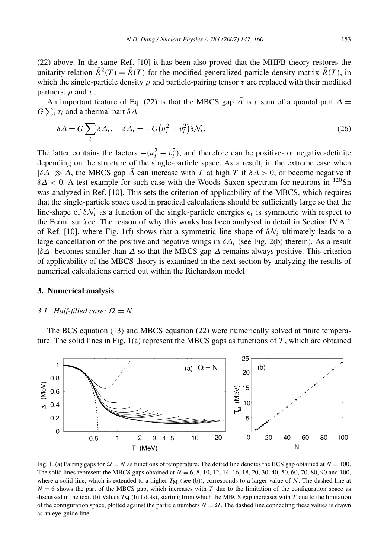(22) above. In the same Ref. [10] it has been also proved that the MHFB theory restores the unitarity relation  $\bar{R}^2(T) = \bar{R}(T)$  for the modified generalized particle-density matrix  $\bar{R}(T)$ , in which the single-particle density  $\rho$  and particle-pairing tensor  $\tau$  are replaced with their modified partners,  $\bar{\rho}$  and  $\bar{\tau}$ .

An important feature of Eq. (22) is that the MBCS gap  $\overline{\Delta}$  is a sum of a quantal part  $\Delta =$ *G*  $\sum_i$  *τ<sub>i</sub>* and a thermal part *δ*  $Δ$ 

$$
\delta \Delta = G \sum_{i} \delta \Delta_{i}, \quad \delta \Delta_{i} = -G \big( u_{i}^{2} - v_{i}^{2} \big) \delta \mathcal{N}_{i}.
$$
\n
$$
(26)
$$

The latter contains the factors  $-(u_i^2 - v_i^2)$ , and therefore can be positive- or negative-definite depending on the structure of the single-particle space. As a result, in the extreme case when  $|\delta\Delta| \gg \Delta$ , the MBCS gap  $\overline{\Delta}$  can increase with *T* at high *T* if  $\delta\Delta > 0$ , or become negative if *δΔ <* 0. A test-example for such case with the Woods–Saxon spectrum for neutrons in 120Sn was analyzed in Ref. [10]. This sets the criterion of applicability of the MBCS, which requires that the single-particle space used in practical calculations should be sufficiently large so that the line-shape of  $\delta \mathcal{N}_i$  as a function of the single-particle energies  $\epsilon_i$  is symmetric with respect to the Fermi surface. The reason of why this works has been analysed in detail in Section IV.A.1 of Ref. [10], where Fig. 1(f) shows that a symmetric line shape of  $\delta \mathcal{N}_i$  ultimately leads to a large cancellation of the positive and negative wings in  $\delta\Delta_i$  (see Fig. 2(b) therein). As a result |*δΔ*| becomes smaller than *Δ* so that the MBCS gap *Δ*¯ remains always positive. This criterion of applicability of the MBCS theory is examined in the next section by analyzing the results of numerical calculations carried out within the Richardson model.

### **3. Numerical analysis**

#### *3.1. Half-filled case: Ω* = *N*

The BCS equation (13) and MBCS equation (22) were numerically solved at finite temperature. The solid lines in Fig. 1(a) represent the MBCS gaps as functions of *T* , which are obtained



Fig. 1. (a) Pairing gaps for *Ω* = *N* as functions of temperature. The dotted line denotes the BCS gap obtained at *N* = 100. The solid lines represent the MBCS gaps obtained at *N* = 6, 8, 10, 12, 14, 16, 18, 20, 30, 40, 50, 60, 70, 80, 90 and 100, where a solid line, which is extended to a higher *T*<sub>M</sub> (see (b)), corresponds to a larger value of *N*. The dashed line at  $N = 6$  shows the part of the MBCS gap, which increases with *T* due to the limitation of the configuration space as discussed in the text. (b) Values  $T_M$  (full dots), starting from which the MBCS gap increases with *T* due to the limitation of the configuration space, plotted against the particle numbers  $N = \Omega$ . The dashed line connecting these values is drawn as an eye-guide line.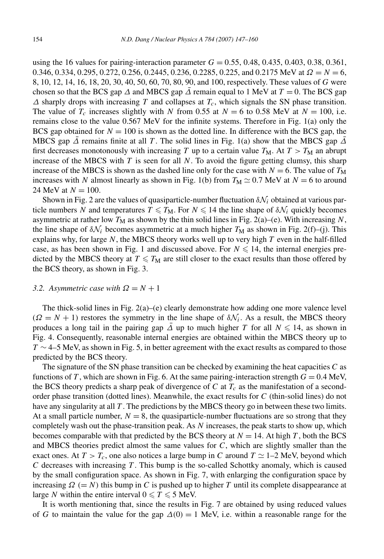using the 16 values for pairing-interaction parameter  $G = 0.55, 0.48, 0.435, 0.403, 0.38, 0.361$ , 0.346, 0.334, 0.295, 0.272, 0.256, 0.2445, 0.236, 0.2285, 0.225, and 0.2175 MeV at *Ω* = *N* = 6, 8, 10, 12, 14, 16, 18, 20, 30, 40, 50, 60, 70, 80, 90, and 100, respectively. These values of *G* were chosen so that the BCS gap  $\Delta$  and MBCS gap  $\overline{\Delta}$  remain equal to 1 MeV at  $T = 0$ . The BCS gap *Δ* sharply drops with increasing *T* and collapses at *Tc*, which signals the SN phase transition. The value of  $T_c$  increases slightly with *N* from 0.55 at  $N = 6$  to 0.58 MeV at  $N = 100$ , i.e. remains close to the value 0.567 MeV for the infinite systems. Therefore in Fig. 1(a) only the BCS gap obtained for  $N = 100$  is shown as the dotted line. In difference with the BCS gap, the MBCS gap  $\overline{\Delta}$  remains finite at all *T*. The solid lines in Fig. 1(a) show that the MBCS gap  $\overline{\Delta}$ first decreases monotonously with increasing *T* up to a certain value  $T_M$ . At  $T > T_M$  an abrupt increase of the MBCS with *T* is seen for all *N*. To avoid the figure getting clumsy, this sharp increase of the MBCS is shown as the dashed line only for the case with  $N = 6$ . The value of  $T_M$ increases with *N* almost linearly as shown in Fig. 1(b) from  $T_M \simeq 0.7$  MeV at  $N = 6$  to around 24 MeV at  $N = 100$ .

Shown in Fig. 2 are the values of quasiparticle-number fluctuation  $\delta N_i$  obtained at various particle numbers *N* and temperatures  $T \leq T_M$ . For  $N \leq 14$  the line shape of  $\delta N_i$  quickly becomes asymmetric at rather low  $T_M$  as shown by the thin solid lines in Fig. 2(a)–(e). With increasing N, the line shape of  $\delta \mathcal{N}_i$  becomes asymmetric at a much higher  $T_M$  as shown in Fig. 2(f)–(j). This explains why, for large *N*, the MBCS theory works well up to very high *T* even in the half-filled case, as has been shown in Fig. 1 and discussed above. For  $N \leq 14$ , the internal energies predicted by the MBCS theory at  $T \leqslant T_M$  are still closer to the exact results than those offered by the BCS theory, as shown in Fig. 3.

#### *3.2.* Asymmetric case with  $\Omega = N + 1$

The thick-solid lines in Fig.  $2(a)$ –(e) clearly demonstrate how adding one more valence level  $(Q = N + 1)$  restores the symmetry in the line shape of  $\delta N_i$ . As a result, the MBCS theory produces a long tail in the pairing gap  $\overline{\Delta}$  up to much higher *T* for all  $N \leq 14$ , as shown in Fig. 4. Consequently, reasonable internal energies are obtained within the MBCS theory up to  $T \sim 4-5$  MeV, as shown in Fig. 5, in better agreement with the exact results as compared to those predicted by the BCS theory.

The signature of the SN phase transition can be checked by examining the heat capacities *C* as functions of *T*, which are shown in Fig. 6. At the same pairing-interaction strength  $G = 0.4$  MeV, the BCS theory predicts a sharp peak of divergence of  $C$  at  $T_c$  as the manifestation of a secondorder phase transition (dotted lines). Meanwhile, the exact results for *C* (thin-solid lines) do not have any singularity at all *T* . The predictions by the MBCS theory go in between these two limits. At a small particle number,  $N = 8$ , the quasiparticle-number fluctuations are so strong that they completely wash out the phase-transition peak. As *N* increases, the peak starts to show up, which becomes comparable with that predicted by the BCS theory at  $N = 14$ . At high *T*, both the BCS and MBCS theories predict almost the same values for *C*, which are slightly smaller than the exact ones. At  $T > T_c$ , one also notices a large bump in *C* around  $T \simeq 1-2$  MeV, beyond which *C* decreases with increasing *T* . This bump is the so-called Schottky anomaly, which is caused by the small configuration space. As shown in Fig. 7, with enlarging the configuration space by increasing  $\Omega$  (= *N*) this bump in *C* is pushed up to higher *T* until its complete disappearance at large *N* within the entire interval  $0 \le T \le 5$  MeV.

It is worth mentioning that, since the results in Fig. 7 are obtained by using reduced values of *G* to maintain the value for the gap  $\Delta(0) = 1$  MeV, i.e. within a reasonable range for the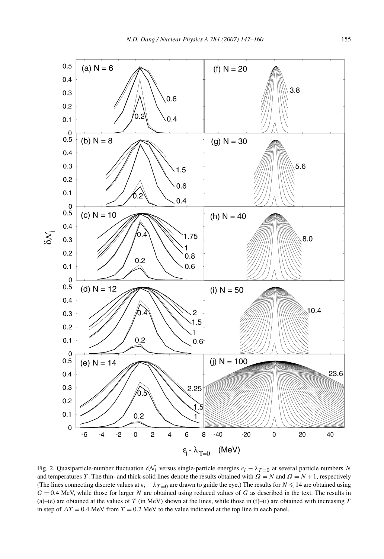

Fig. 2. Quasiparticle-number fluctuation  $\delta N_i$  versus single-particle energies  $\epsilon_i - \lambda_{T=0}$  at several particle numbers *N* and temperatures *T*. The thin- and thick-solid lines denote the results obtained with  $\Omega = N$  and  $\Omega = N + 1$ , respectively (The lines connecting discrete values at  $\epsilon_i - \lambda_{T=0}$  are drawn to guide the eye.) The results for  $N \le 14$  are obtained using  $G = 0.4$  MeV, while those for larger *N* are obtained using reduced values of *G* as described in the text. The results in (a)–(e) are obtained at the values of  $T$  (in MeV) shown at the lines, while those in (f)–(i) are obtained with increasing  $T$ in step of  $\Delta T = 0.4$  MeV from  $T = 0.2$  MeV to the value indicated at the top line in each panel.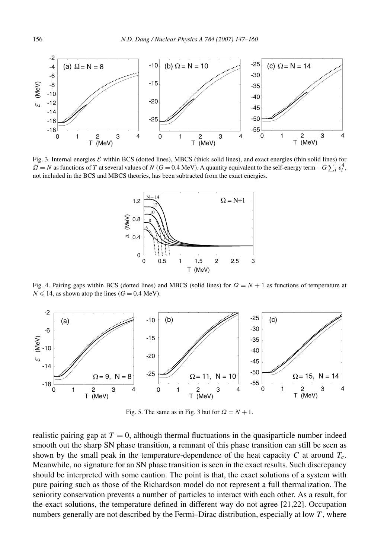

Fig. 3. Internal energies  $\mathcal E$  within BCS (dotted lines), MBCS (thick solid lines), and exact energies (thin solid lines) for  $\Omega = N$  as functions of *T* at several values of *N* ( $G = 0.4$  MeV). A quantity equivalent to the self-energy term  $-G \sum_i v_i^4$ , not included in the BCS and MBCS theories, has been subtracted from the exact energies.



Fig. 4. Pairing gaps within BCS (dotted lines) and MBCS (solid lines) for  $\Omega = N + 1$  as functions of temperature at  $N \le 14$ , as shown atop the lines ( $G = 0.4$  MeV).



Fig. 5. The same as in Fig. 3 but for  $\Omega = N + 1$ .

realistic pairing gap at  $T = 0$ , although thermal fluctuations in the quasiparticle number indeed smooth out the sharp SN phase transition, a remnant of this phase transition can still be seen as shown by the small peak in the temperature-dependence of the heat capacity *C* at around *Tc*. Meanwhile, no signature for an SN phase transition is seen in the exact results. Such discrepancy should be interpreted with some caution. The point is that, the exact solutions of a system with pure pairing such as those of the Richardson model do not represent a full thermalization. The seniority conservation prevents a number of particles to interact with each other. As a result, for the exact solutions, the temperature defined in different way do not agree [21,22]. Occupation numbers generally are not described by the Fermi–Dirac distribution, especially at low *T* , where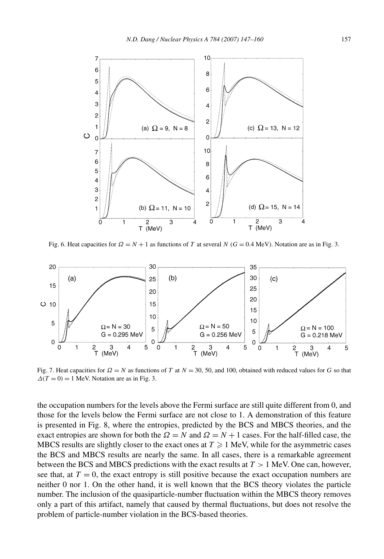

Fig. 6. Heat capacities for  $\Omega = N + 1$  as functions of *T* at several *N* ( $G = 0.4$  MeV). Notation are as in Fig. 3.



Fig. 7. Heat capacities for  $\Omega = N$  as functions of *T* at  $N = 30, 50$ , and 100, obtained with reduced values for *G* so that  $\Delta(T=0) = 1$  MeV. Notation are as in Fig. 3.

the occupation numbers for the levels above the Fermi surface are still quite different from 0, and those for the levels below the Fermi surface are not close to 1. A demonstration of this feature is presented in Fig. 8, where the entropies, predicted by the BCS and MBCS theories, and the exact entropies are shown for both the  $\Omega = N$  and  $\Omega = N + 1$  cases. For the half-filled case, the MBCS results are slightly closer to the exact ones at  $T \geq 1$  MeV, while for the asymmetric cases the BCS and MBCS results are nearly the same. In all cases, there is a remarkable agreement between the BCS and MBCS predictions with the exact results at *T >* 1 MeV. One can, however, see that, at  $T = 0$ , the exact entropy is still positive because the exact occupation numbers are neither 0 nor 1. On the other hand, it is well known that the BCS theory violates the particle number. The inclusion of the quasiparticle-number fluctuation within the MBCS theory removes only a part of this artifact, namely that caused by thermal fluctuations, but does not resolve the problem of particle-number violation in the BCS-based theories.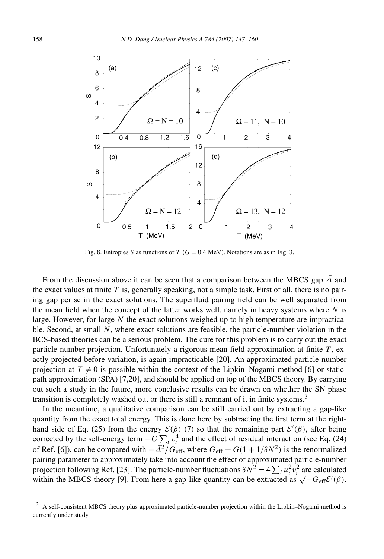

Fig. 8. Entropies *S* as functions of *T* ( $G = 0.4$  MeV). Notations are as in Fig. 3.

From the discussion above it can be seen that a comparison between the MBCS gap  $\overline{\Delta}$  and the exact values at finite  $T$  is, generally speaking, not a simple task. First of all, there is no pairing gap per se in the exact solutions. The superfluid pairing field can be well separated from the mean field when the concept of the latter works well, namely in heavy systems where  $N$  is large. However, for large *N* the exact solutions weighed up to high temperature are impracticable. Second, at small *N*, where exact solutions are feasible, the particle-number violation in the BCS-based theories can be a serious problem. The cure for this problem is to carry out the exact particle-number projection. Unfortunately a rigorous mean-field approximation at finite *T* , exactly projected before variation, is again impracticable [20]. An approximated particle-number projection at  $T \neq 0$  is possible within the context of the Lipkin–Nogami method [6] or staticpath approximation (SPA) [7,20], and should be applied on top of the MBCS theory. By carrying out such a study in the future, more conclusive results can be drawn on whether the SN phase transition is completely washed out or there is still a remnant of it in finite systems.3

In the meantime, a qualitative comparison can be still carried out by extracting a gap-like quantity from the exact total energy. This is done here by subtracting the first term at the righthand side of Eq. (25) from the energy  $\mathcal{E}(\beta)$  (7) so that the remaining part  $\mathcal{E}'(\beta)$ , after being corrected by the self-energy term  $-G \sum_i v_i^4$  and the effect of residual interaction (see Eq. (24) of Ref. [6]), can be compared with  $-\bar{\Delta}^2/G_{\text{eff}}$ , where  $G_{\text{eff}} = G(1 + 1/\delta N^2)$  is the renormalized pairing parameter to approximately take into account the effect of approximated particle-number projection following Ref. [23]. The particle-number fluctuations  $\delta N^2 = 4 \sum_i \bar{u}_i^2 \bar{v}_i^2$  are calculated projection following Ref. [25]. The particle-humber includitions  $\delta N = 4 \sum_i u_i v_i$  are calculated within the MBCS theory [9]. From here a gap-like quantity can be extracted as  $\sqrt{-G_{\text{eff}}\mathcal{E}'(\beta)}$ .

<sup>3</sup> A self-consistent MBCS theory plus approximated particle-number projection within the Lipkin–Nogami method is currently under study.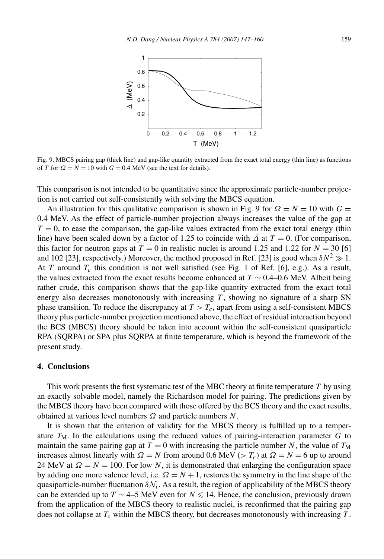

Fig. 9. MBCS pairing gap (thick line) and gap-like quantity extracted from the exact total energy (thin line) as functions of *T* for  $\Omega = N = 10$  with  $G = 0.4$  MeV (see the text for details).

This comparison is not intended to be quantitative since the approximate particle-number projection is not carried out self-consistently with solving the MBCS equation.

An illustration for this qualitative comparison is shown in Fig. 9 for  $\Omega = N = 10$  with  $G =$ 0*.*4 MeV. As the effect of particle-number projection always increases the value of the gap at  $T = 0$ , to ease the comparison, the gap-like values extracted from the exact total energy (thin line) have been scaled down by a factor of 1.25 to coincide with  $\overline{\Delta}$  at  $T = 0$ . (For comparison, this factor for neutron gaps at  $T = 0$  in realistic nuclei is around 1.25 and 1.22 for  $N = 30$  [6] and 102 [23], respectively.) Moreover, the method proposed in Ref. [23] is good when  $\delta N^2 \gg 1$ . At *T* around  $T_c$  this condition is not well satisfied (see Fig. 1 of Ref. [6], e.g.). As a result, the values extracted from the exact results become enhanced at  $T \sim 0.4{\text{-}}0.6$  MeV. Albeit being rather crude, this comparison shows that the gap-like quantity extracted from the exact total energy also decreases monotonously with increasing  $T$ , showing no signature of a sharp SN phase transition. To reduce the discrepancy at  $T > T_c$ , apart from using a self-consistent MBCS theory plus particle-number projection mentioned above, the effect of residual interaction beyond the BCS (MBCS) theory should be taken into account within the self-consistent quasiparticle RPA (SQRPA) or SPA plus SQRPA at finite temperature, which is beyond the framework of the present study.

#### **4. Conclusions**

This work presents the first systematic test of the MBC theory at finite temperature *T* by using an exactly solvable model, namely the Richardson model for pairing. The predictions given by the MBCS theory have been compared with those offered by the BCS theory and the exact results, obtained at various level numbers *Ω* and particle numbers *N*.

It is shown that the criterion of validity for the MBCS theory is fulfilled up to a temperature  $T_M$ . In the calculations using the reduced values of pairing-interaction parameter  $G$  to maintain the same pairing gap at  $T = 0$  with increasing the particle number *N*, the value of  $T_M$ increases almost linearly with  $\Omega = N$  from around 0.6 MeV ( $>\Gamma_c$ ) at  $\Omega = N = 6$  up to around 24 MeV at  $\Omega = N = 100$ . For low *N*, it is demonstrated that enlarging the configuration space by adding one more valence level, i.e.  $\Omega = N + 1$ , restores the symmetry in the line shape of the quasiparticle-number fluctuation  $\delta N_i$ . As a result, the region of applicability of the MBCS theory can be extended up to  $T \sim 4-5$  MeV even for  $N \leq 14$ . Hence, the conclusion, previously drawn from the application of the MBCS theory to realistic nuclei, is reconfirmed that the pairing gap does not collapse at *Tc* within the MBCS theory, but decreases monotonously with increasing *T* .